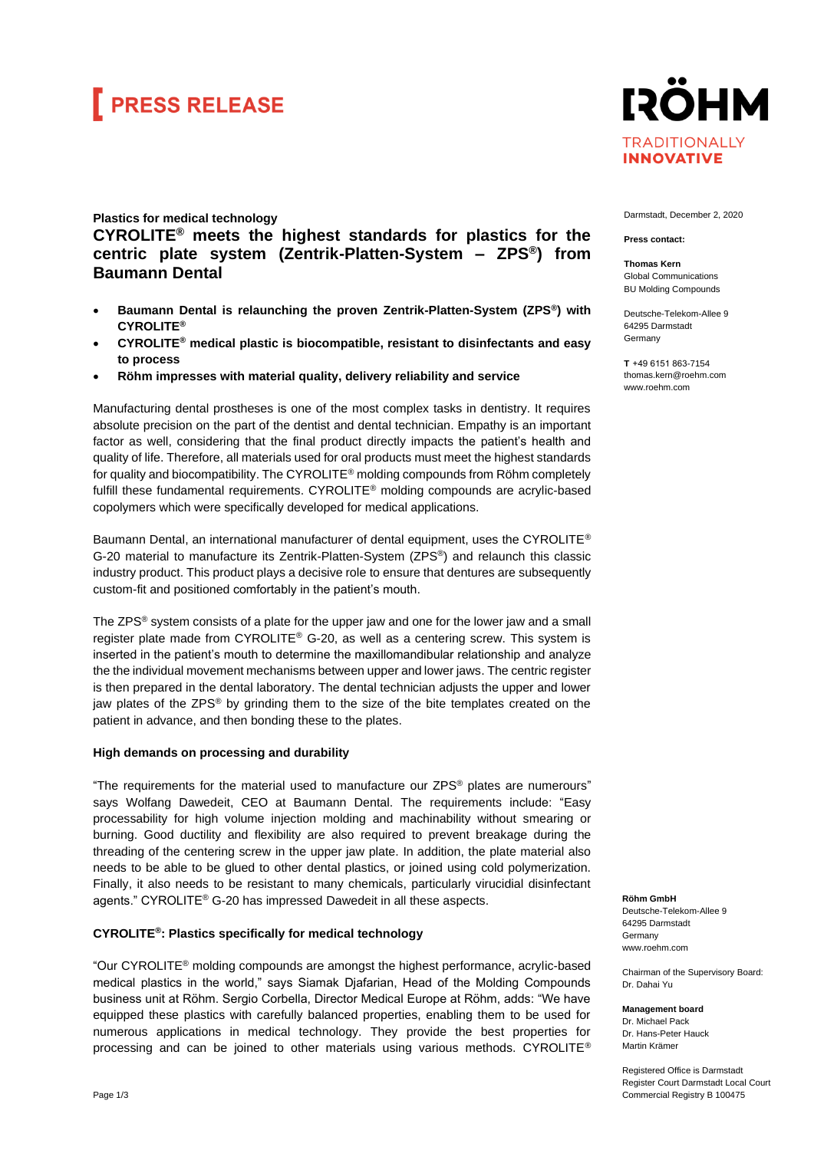# **FRESS RELEASE**

## **Plastics for medical technology CYROLITE® meets the highest standards for plastics for the centric plate system (Zentrik-Platten-System – ZPS®) from Baumann Dental**

- **Baumann Dental is relaunching the proven Zentrik-Platten-System (ZPS®) with CYROLITE®**
- **CYROLITE® medical plastic is biocompatible, resistant to disinfectants and easy to process**
- **Röhm impresses with material quality, delivery reliability and service**

Manufacturing dental prostheses is one of the most complex tasks in dentistry. It requires absolute precision on the part of the dentist and dental technician. Empathy is an important factor as well, considering that the final product directly impacts the patient's health and quality of life. Therefore, all materials used for oral products must meet the highest standards for quality and biocompatibility. The CYROLITE® molding compounds from Röhm completely fulfill these fundamental requirements. CYROLITE® molding compounds are acrylic-based copolymers which were specifically developed for medical applications.

Baumann Dental, an international manufacturer of dental equipment, uses the CYROLITE® G-20 material to manufacture its Zentrik-Platten-System (ZPS®) and relaunch this classic industry product. This product plays a decisive role to ensure that dentures are subsequently custom-fit and positioned comfortably in the patient's mouth.

The ZPS<sup>®</sup> system consists of a plate for the upper jaw and one for the lower jaw and a small register plate made from CYROLITE® G-20, as well as a centering screw. This system is inserted in the patient's mouth to determine the maxillomandibular relationship and analyze the the individual movement mechanisms between upper and lower jaws. The centric register is then prepared in the dental laboratory. The dental technician adjusts the upper and lower jaw plates of the ZPS® by grinding them to the size of the bite templates created on the patient in advance, and then bonding these to the plates.

## **High demands on processing and durability**

"The requirements for the material used to manufacture our  $ZPS^{\circledast}$  plates are numerours" says Wolfang Dawedeit, CEO at Baumann Dental. The requirements include: "Easy processability for high volume injection molding and machinability without smearing or burning. Good ductility and flexibility are also required to prevent breakage during the threading of the centering screw in the upper jaw plate. In addition, the plate material also needs to be able to be glued to other dental plastics, or joined using cold polymerization. Finally, it also needs to be resistant to many chemicals, particularly virucidial disinfectant agents." CYROLITE® G-20 has impressed Dawedeit in all these aspects.

## **CYROLITE®: Plastics specifically for medical technology**

"Our CYROLITE® molding compounds are amongst the highest performance, acrylic-based medical plastics in the world," says Siamak Djafarian, Head of the Molding Compounds business unit at Röhm. Sergio Corbella, Director Medical Europe at Röhm, adds: "We have equipped these plastics with carefully balanced properties, enabling them to be used for numerous applications in medical technology. They provide the best properties for processing and can be joined to other materials using various methods. CYROLITE®



#### Darmstadt, December 2, 2020

#### **Press contact:**

**Thomas Kern** Global Communications BU Molding Compounds

Deutsche-Telekom-Allee 9 64295 Darmstadt Germany

**T**  +49 6151 863-7154 thomas.kern@roehm.com www.roehm.com

**Röhm GmbH** Deutsche-Telekom-Allee 9 64295 Darmstadt **Germany** [www.roehm.com](http://www.roehm.com/)

Chairman of the Supervisory Board: Dr. Dahai Yu

**Management board** Dr. Michael Pack Dr. Hans-Peter Hauck Martin Krämer

Registered Office is Darmstadt Register Court Darmstadt Local Court Commercial Registry B 100475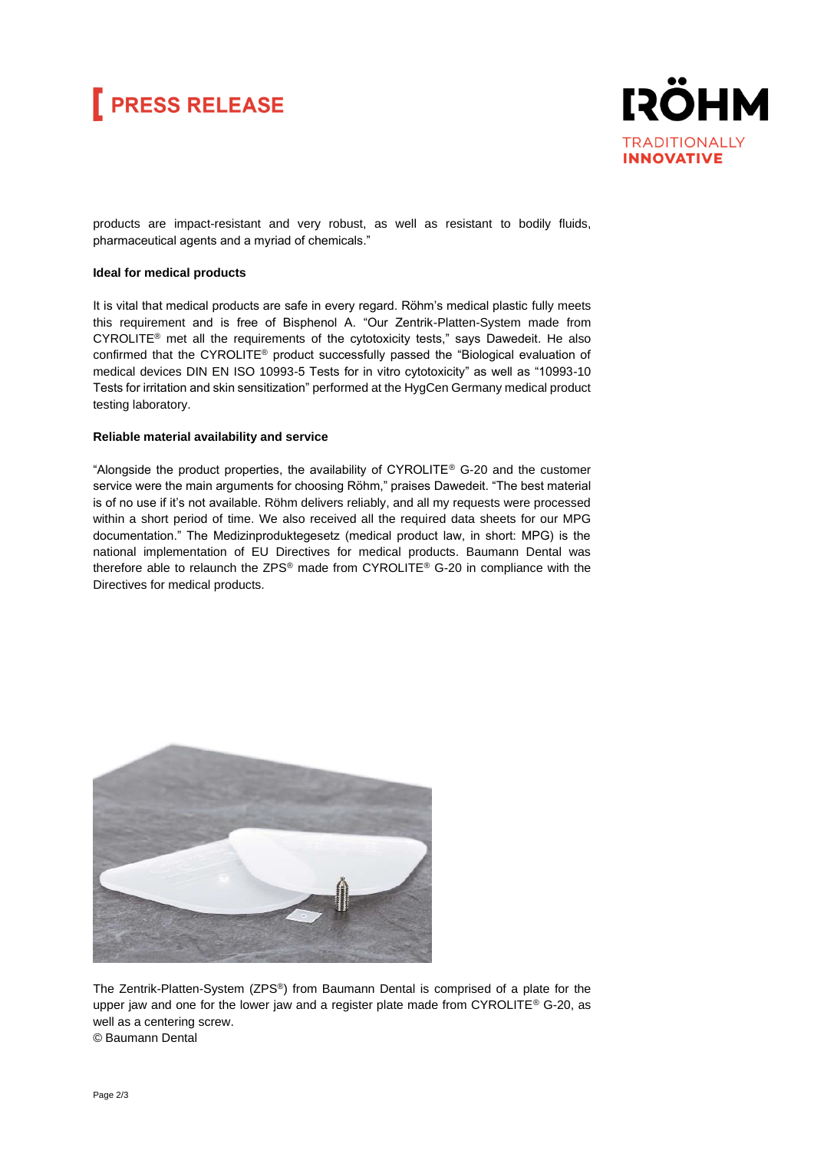



products are impact-resistant and very robust, as well as resistant to bodily fluids, pharmaceutical agents and a myriad of chemicals."

## **Ideal for medical products**

It is vital that medical products are safe in every regard. Röhm's medical plastic fully meets this requirement and is free of Bisphenol A. "Our Zentrik-Platten-System made from CYROLITE® met all the requirements of the cytotoxicity tests," says Dawedeit. He also confirmed that the CYROLITE® product successfully passed the "Biological evaluation of medical devices DIN EN ISO 10993-5 Tests for in vitro cytotoxicity" as well as "10993-10 Tests for irritation and skin sensitization" performed at the HygCen Germany medical product testing laboratory.

## **Reliable material availability and service**

"Alongside the product properties, the availability of CYROLITE® G-20 and the customer service were the main arguments for choosing Röhm," praises Dawedeit. "The best material is of no use if it's not available. Röhm delivers reliably, and all my requests were processed within a short period of time. We also received all the required data sheets for our MPG documentation." The Medizinproduktegesetz (medical product law, in short: MPG) is the national implementation of EU Directives for medical products. Baumann Dental was therefore able to relaunch the ZPS® made from CYROLITE® G-20 in compliance with the Directives for medical products.



The Zentrik-Platten-System (ZPS®) from Baumann Dental is comprised of a plate for the upper jaw and one for the lower jaw and a register plate made from CYROLITE® G-20, as well as a centering screw. © Baumann Dental